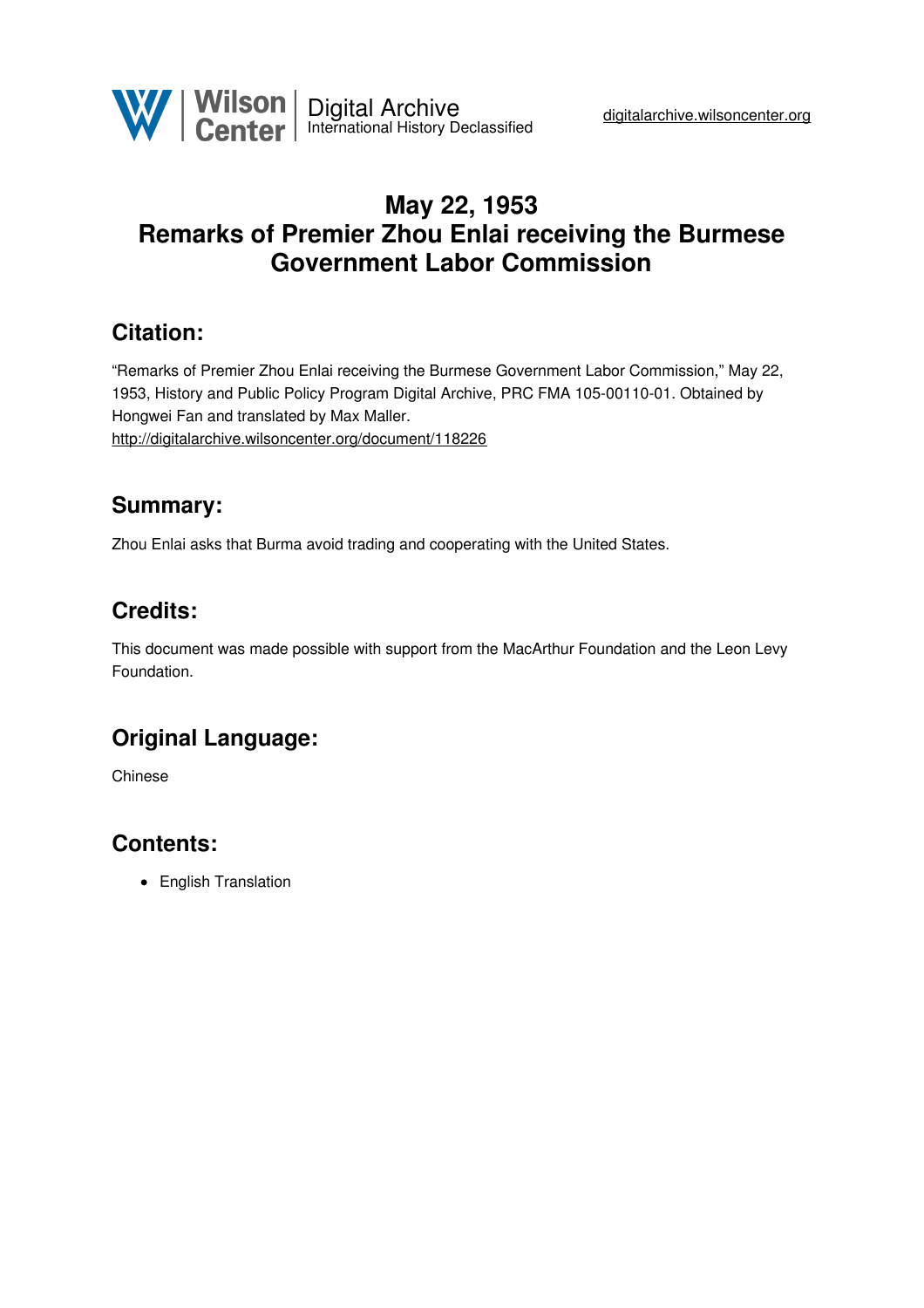

## **May 22, 1953 Remarks of Premier Zhou Enlai receiving the Burmese Government Labor Commission**

#### **Citation:**

"Remarks of Premier Zhou Enlai receiving the Burmese Government Labor Commission," May 22, 1953, History and Public Policy Program Digital Archive, PRC FMA 105-00110-01. Obtained by Hongwei Fan and translated by Max Maller. <http://digitalarchive.wilsoncenter.org/document/118226>

### **Summary:**

Zhou Enlai asks that Burma avoid trading and cooperating with the United States.

### **Credits:**

This document was made possible with support from the MacArthur Foundation and the Leon Levy Foundation.

# **Original Language:**

Chinese

## **Contents:**

• English Translation